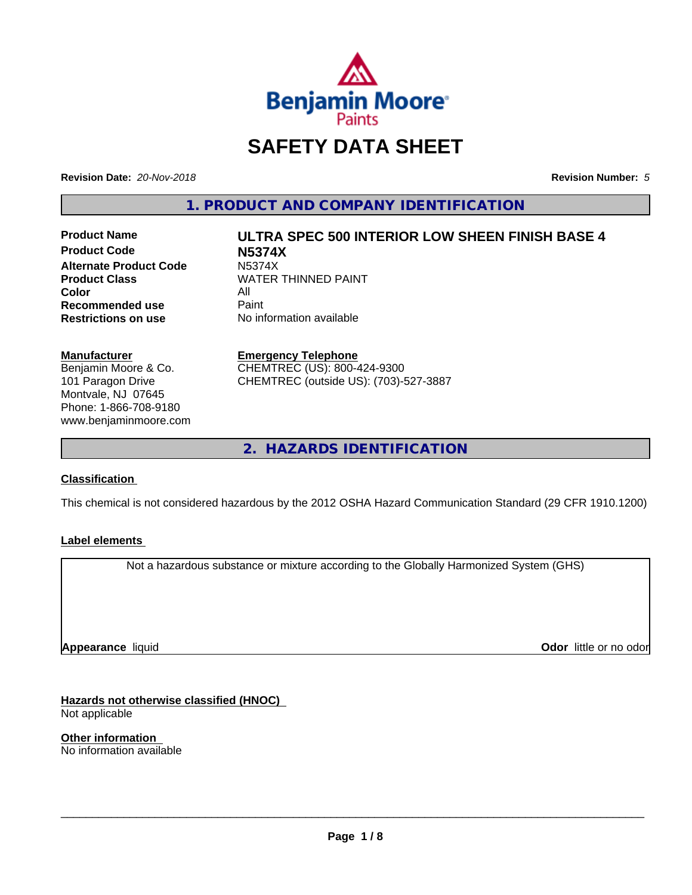

# **SAFETY DATA SHEET**

**Revision Date:** *20-Nov-2018* **Revision Number:** *5*

**1. PRODUCT AND COMPANY IDENTIFICATION**

**Product Code N5374X Alternate Product Code M5374X**<br>Product Class WATER **Color** All<br> **Recommended use** Paint **Recommended use**<br>Restrictions on use

# **Product Name ULTRA SPEC 500 INTERIOR LOW SHEEN FINISH BASE 4 WATER THINNED PAINT**

**No information available** 

#### **Manufacturer**

Benjamin Moore & Co. 101 Paragon Drive Montvale, NJ 07645 Phone: 1-866-708-9180 www.benjaminmoore.com

#### **Emergency Telephone**

CHEMTREC (US): 800-424-9300 CHEMTREC (outside US): (703)-527-3887

**2. HAZARDS IDENTIFICATION**

#### **Classification**

This chemical is not considered hazardous by the 2012 OSHA Hazard Communication Standard (29 CFR 1910.1200)

#### **Label elements**

Not a hazardous substance or mixture according to the Globally Harmonized System (GHS)

**Appearance** liquid

**Odor** little or no odor

**Hazards not otherwise classified (HNOC)** Not applicable

**Other information** No information available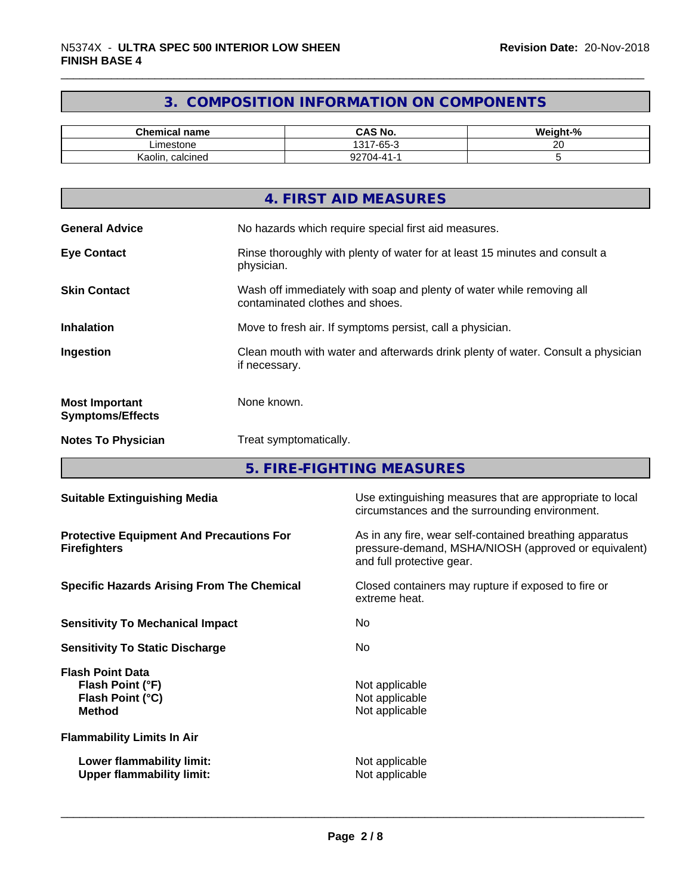# **3. COMPOSITION INFORMATION ON COMPONENTS**

| <b>Chemical name</b> | <b>CAS No.</b>                  | - 04<br><br>veight<br>- 70 |
|----------------------|---------------------------------|----------------------------|
| Limestone            | $\sim$<br>131<br>$\sim$<br>∵-סס | ~~<br><u>Lv</u>            |
| calcined<br>Kaolin,  | −14-4-0، ِ<br>ັ                 |                            |

| 4. FIRST AID MEASURES                                                                                                           |
|---------------------------------------------------------------------------------------------------------------------------------|
| <b>General Advice</b><br>No hazards which require special first aid measures.                                                   |
| <b>Eye Contact</b><br>Rinse thoroughly with plenty of water for at least 15 minutes and consult a<br>physician.                 |
| Wash off immediately with soap and plenty of water while removing all<br><b>Skin Contact</b><br>contaminated clothes and shoes. |
| Move to fresh air. If symptoms persist, call a physician.<br><b>Inhalation</b>                                                  |
| Ingestion<br>Clean mouth with water and afterwards drink plenty of water. Consult a physician<br>if necessary.                  |
| None known.<br><b>Most Important</b><br><b>Symptoms/Effects</b>                                                                 |
| <b>Notes To Physician</b><br>Treat symptomatically.                                                                             |

**5. FIRE-FIGHTING MEASURES**

| <b>Suitable Extinguishing Media</b>                                              | Use extinguishing measures that are appropriate to local<br>circumstances and the surrounding environment.                                   |
|----------------------------------------------------------------------------------|----------------------------------------------------------------------------------------------------------------------------------------------|
| <b>Protective Equipment And Precautions For</b><br><b>Firefighters</b>           | As in any fire, wear self-contained breathing apparatus<br>pressure-demand, MSHA/NIOSH (approved or equivalent)<br>and full protective gear. |
| <b>Specific Hazards Arising From The Chemical</b>                                | Closed containers may rupture if exposed to fire or<br>extreme heat.                                                                         |
| <b>Sensitivity To Mechanical Impact</b>                                          | No.                                                                                                                                          |
| <b>Sensitivity To Static Discharge</b>                                           | No.                                                                                                                                          |
| <b>Flash Point Data</b><br>Flash Point (°F)<br>Flash Point (°C)<br><b>Method</b> | Not applicable<br>Not applicable<br>Not applicable                                                                                           |
| <b>Flammability Limits In Air</b>                                                |                                                                                                                                              |
| Lower flammability limit:<br><b>Upper flammability limit:</b>                    | Not applicable<br>Not applicable                                                                                                             |
|                                                                                  |                                                                                                                                              |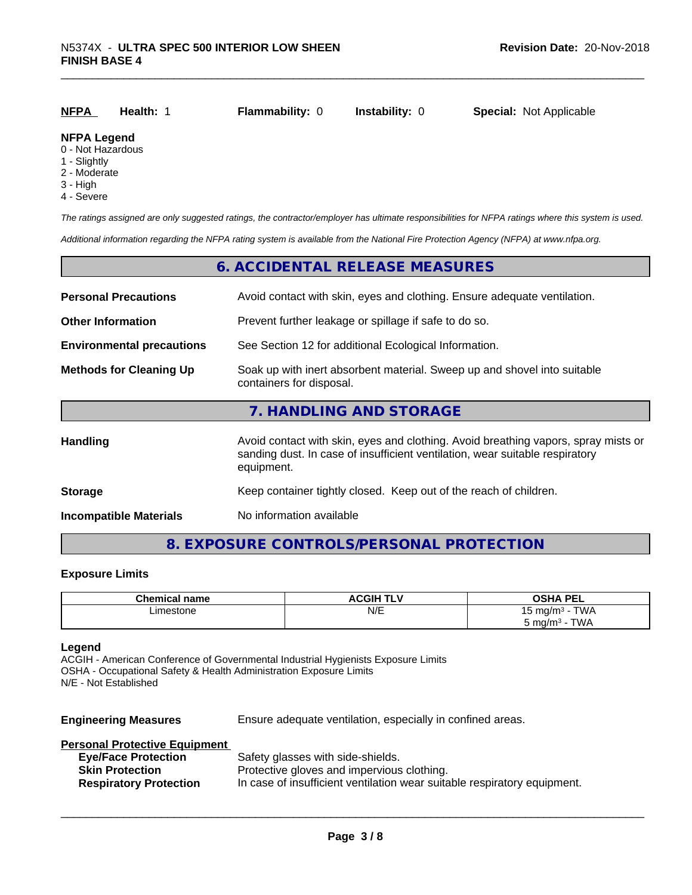| <u>NFPA</u>        | Health: 1 | <b>Flammability: 0</b> | <b>Instability: 0</b> | <b>Special: Not Applicable</b> |
|--------------------|-----------|------------------------|-----------------------|--------------------------------|
| <b>NFPA Legend</b> |           |                        |                       |                                |

#### 0 - Not Hazardous

- 1 Slightly
- 2 Moderate
- 3 High
- 4 Severe

*The ratings assigned are only suggested ratings, the contractor/employer has ultimate responsibilities for NFPA ratings where this system is used.*

*Additional information regarding the NFPA rating system is available from the National Fire Protection Agency (NFPA) at www.nfpa.org.*

### **6. ACCIDENTAL RELEASE MEASURES**

| <b>Personal Precautions</b>      | Avoid contact with skin, eyes and clothing. Ensure adequate ventilation.                                                                                                         |  |
|----------------------------------|----------------------------------------------------------------------------------------------------------------------------------------------------------------------------------|--|
| <b>Other Information</b>         | Prevent further leakage or spillage if safe to do so.                                                                                                                            |  |
| <b>Environmental precautions</b> | See Section 12 for additional Ecological Information.                                                                                                                            |  |
| <b>Methods for Cleaning Up</b>   | Soak up with inert absorbent material. Sweep up and shovel into suitable<br>containers for disposal.                                                                             |  |
|                                  | 7. HANDLING AND STORAGE                                                                                                                                                          |  |
| <b>Handling</b>                  | Avoid contact with skin, eyes and clothing. Avoid breathing vapors, spray mists or<br>sanding dust. In case of insufficient ventilation, wear suitable respiratory<br>equipment. |  |
| <b>Storage</b>                   | Keep container tightly closed. Keep out of the reach of children.                                                                                                                |  |
| <b>Incompatible Materials</b>    | No information available                                                                                                                                                         |  |

### **8. EXPOSURE CONTROLS/PERSONAL PROTECTION**

#### **Exposure Limits**

| <b>Chemical name</b> | <b>ACGIH TLV</b> | <b>OSHA PEL</b>                    |
|----------------------|------------------|------------------------------------|
| Limestone<br>.       | N/E              | <b>TWA</b><br>⊤ma/m∘ -             |
|                      |                  | TWA<br>ີວ mg/m <sup>∢</sup><br>. . |

#### **Legend**

ACGIH - American Conference of Governmental Industrial Hygienists Exposure Limits OSHA - Occupational Safety & Health Administration Exposure Limits N/E - Not Established

**Engineering Measures** Ensure adequate ventilation, especially in confined areas.

#### **Personal Protective Equipment**

| <b>Eye/Face Protection</b>    | Safety glasses with side-shields.                                        |
|-------------------------------|--------------------------------------------------------------------------|
| <b>Skin Protection</b>        | Protective gloves and impervious clothing.                               |
| <b>Respiratory Protection</b> | In case of insufficient ventilation wear suitable respiratory equipment. |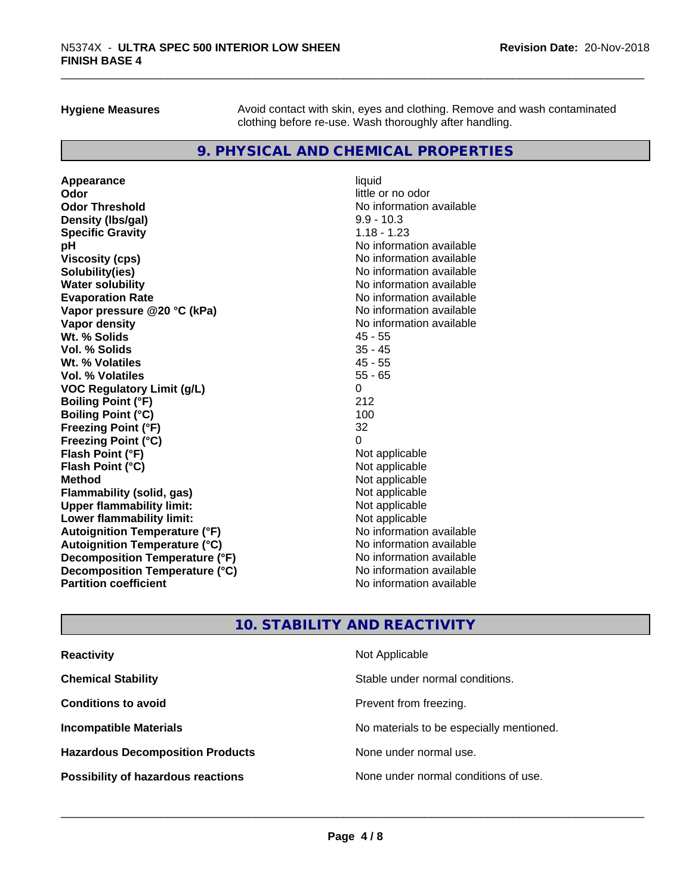**Hygiene Measures** Avoid contact with skin, eyes and clothing. Remove and wash contaminated clothing before re-use. Wash thoroughly after handling.

# **9. PHYSICAL AND CHEMICAL PROPERTIES**

**Appearance** liquid **Odor** little or no odor **Odor Threshold**<br> **Density (Ibs/gal)**<br> **Density (Ibs/gal)**<br>
2.9 - 10.3 **Density (lbs/gal) Specific Gravity** 1.18 - 1.23 **pH** No information available **Viscosity (cps)** No information available in the Viscosity (cps) **Solubility(ies)** No information available **Water solubility Mater Solubility**<br> **Evaporation Rate** Mate No information available **Vapor pressure @20 °C (kPa)** No information available **Vapor density Vapor density No information available Wt. % Solids** 45 - 55 **Vol. % Solids** 35 - 45 Wt. % Volatiles **Vol. % Volatiles** 55 - 65 **VOC Regulatory Limit (g/L)** 0 **Boiling Point (°F)** 212 **Boiling Point (°C)** 100 **Freezing Point (°F)** 32 **Freezing Point (°C)** 0 **Flash Point (°F)**<br> **Flash Point (°C)**<br> **Flash Point (°C)**<br> **C Flash Point (°C) Method** Not applicable **Flammability (solid, gas)** Not applicable<br> **Upper flammability limit:** Not applicable<br>
Not applicable **Upper flammability limit:**<br> **Lower flammability limit:**<br>
Not applicable<br>
Not applicable **Lower flammability limit:**<br> **Autoianition Temperature (°F)**<br>
Mo information available **Autoignition Temperature (°F)**<br> **Autoignition Temperature (°C)**<br> **Autoignition Temperature (°C)**<br>
Mo information available **Autoignition Temperature (°C) Decomposition Temperature (°F)** No information available **Decomposition Temperature (°C)**<br> **Partition coefficient**<br> **Partition coefficient**<br> **No** information available

**Evaporation Rate** No information available **No information available** 

# **10. STABILITY AND REACTIVITY**

| <b>Reactivity</b>                         | Not Applicable                           |
|-------------------------------------------|------------------------------------------|
| <b>Chemical Stability</b>                 | Stable under normal conditions.          |
| <b>Conditions to avoid</b>                | Prevent from freezing.                   |
| <b>Incompatible Materials</b>             | No materials to be especially mentioned. |
| <b>Hazardous Decomposition Products</b>   | None under normal use.                   |
| <b>Possibility of hazardous reactions</b> | None under normal conditions of use.     |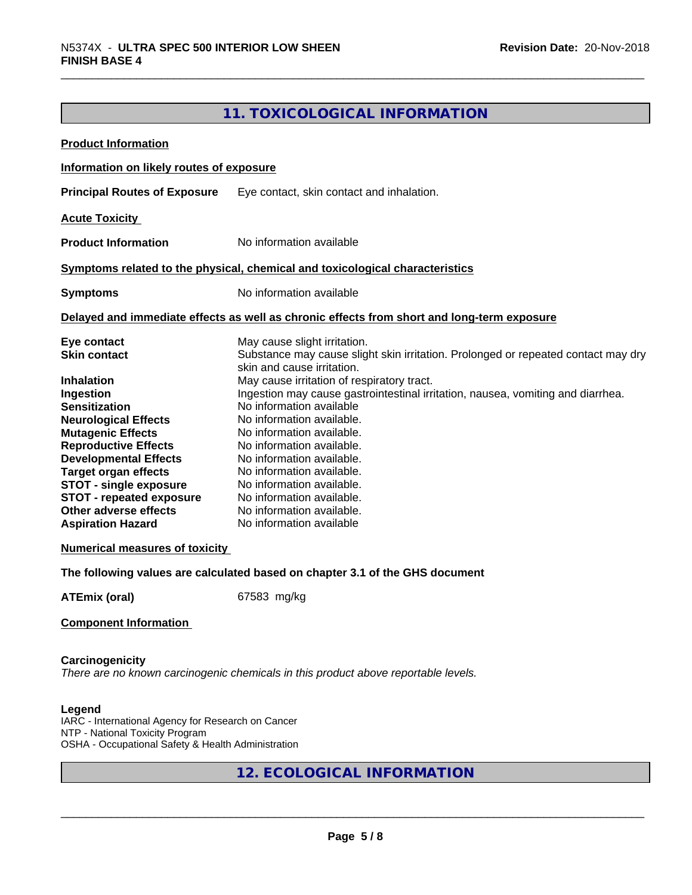# **11. TOXICOLOGICAL INFORMATION**

| <b>Product Information</b>                                                                                                                                                                                                                                                                                                                                   |                                                                                                                                                                                                                                                                                                                                                                                                                                                                 |
|--------------------------------------------------------------------------------------------------------------------------------------------------------------------------------------------------------------------------------------------------------------------------------------------------------------------------------------------------------------|-----------------------------------------------------------------------------------------------------------------------------------------------------------------------------------------------------------------------------------------------------------------------------------------------------------------------------------------------------------------------------------------------------------------------------------------------------------------|
| Information on likely routes of exposure                                                                                                                                                                                                                                                                                                                     |                                                                                                                                                                                                                                                                                                                                                                                                                                                                 |
| <b>Principal Routes of Exposure</b>                                                                                                                                                                                                                                                                                                                          | Eye contact, skin contact and inhalation.                                                                                                                                                                                                                                                                                                                                                                                                                       |
| <b>Acute Toxicity</b>                                                                                                                                                                                                                                                                                                                                        |                                                                                                                                                                                                                                                                                                                                                                                                                                                                 |
| <b>Product Information</b>                                                                                                                                                                                                                                                                                                                                   | No information available                                                                                                                                                                                                                                                                                                                                                                                                                                        |
|                                                                                                                                                                                                                                                                                                                                                              | Symptoms related to the physical, chemical and toxicological characteristics                                                                                                                                                                                                                                                                                                                                                                                    |
| <b>Symptoms</b>                                                                                                                                                                                                                                                                                                                                              | No information available                                                                                                                                                                                                                                                                                                                                                                                                                                        |
|                                                                                                                                                                                                                                                                                                                                                              | Delayed and immediate effects as well as chronic effects from short and long-term exposure                                                                                                                                                                                                                                                                                                                                                                      |
| Eye contact<br><b>Skin contact</b><br><b>Inhalation</b>                                                                                                                                                                                                                                                                                                      | May cause slight irritation.<br>Substance may cause slight skin irritation. Prolonged or repeated contact may dry<br>skin and cause irritation.<br>May cause irritation of respiratory tract.                                                                                                                                                                                                                                                                   |
| Ingestion<br><b>Sensitization</b><br><b>Neurological Effects</b><br><b>Mutagenic Effects</b><br><b>Reproductive Effects</b><br><b>Developmental Effects</b><br><b>Target organ effects</b><br><b>STOT - single exposure</b><br><b>STOT - repeated exposure</b><br>Other adverse effects<br><b>Aspiration Hazard</b><br><b>Numerical measures of toxicity</b> | Ingestion may cause gastrointestinal irritation, nausea, vomiting and diarrhea.<br>No information available<br>No information available.<br>No information available.<br>No information available.<br>No information available.<br>No information available.<br>No information available.<br>No information available.<br>No information available.<br>No information available<br>The following values are calculated based on chapter 3.1 of the GHS document |
| <b>ATEmix (oral)</b>                                                                                                                                                                                                                                                                                                                                         | 67583 mg/kg                                                                                                                                                                                                                                                                                                                                                                                                                                                     |
| <b>Component Information</b>                                                                                                                                                                                                                                                                                                                                 |                                                                                                                                                                                                                                                                                                                                                                                                                                                                 |
| Carcinogenicity                                                                                                                                                                                                                                                                                                                                              | There are no known carcinogenic chemicals in this product above reportable levels.                                                                                                                                                                                                                                                                                                                                                                              |
| Legend<br>IARC - International Agency for Research on Cancer<br>NTP - National Toxicity Program<br>OSHA - Occupational Safety & Health Administration                                                                                                                                                                                                        |                                                                                                                                                                                                                                                                                                                                                                                                                                                                 |
|                                                                                                                                                                                                                                                                                                                                                              | 12. ECOLOGICAL INFORMATION                                                                                                                                                                                                                                                                                                                                                                                                                                      |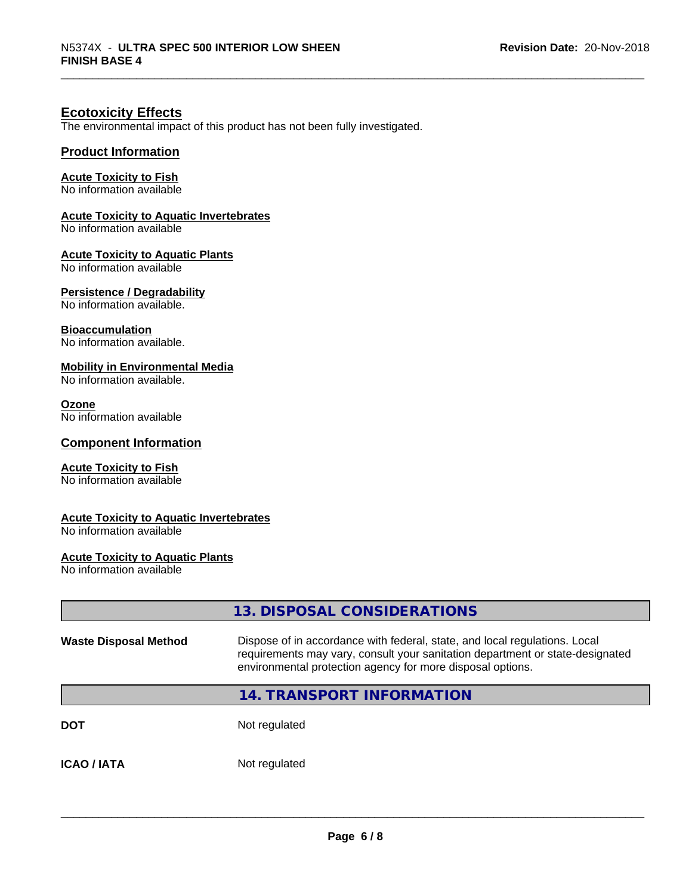# **Ecotoxicity Effects**

The environmental impact of this product has not been fully investigated.

#### **Product Information**

#### **Acute Toxicity to Fish**

No information available

#### **Acute Toxicity to Aquatic Invertebrates**

No information available

#### **Acute Toxicity to Aquatic Plants**

No information available

#### **Persistence / Degradability**

No information available.

#### **Bioaccumulation**

No information available.

#### **Mobility in Environmental Media**

No information available.

#### **Ozone**

No information available

#### **Component Information**

#### **Acute Toxicity to Fish**

No information available

#### **Acute Toxicity to Aquatic Invertebrates**

No information available

### **Acute Toxicity to Aquatic Plants**

No information available

|                              | 13. DISPOSAL CONSIDERATIONS                                                                                                                                                                                               |
|------------------------------|---------------------------------------------------------------------------------------------------------------------------------------------------------------------------------------------------------------------------|
| <b>Waste Disposal Method</b> | Dispose of in accordance with federal, state, and local regulations. Local<br>requirements may vary, consult your sanitation department or state-designated<br>environmental protection agency for more disposal options. |
|                              | 14. TRANSPORT INFORMATION                                                                                                                                                                                                 |
| <b>DOT</b>                   | Not regulated                                                                                                                                                                                                             |
| <b>ICAO / IATA</b>           | Not regulated                                                                                                                                                                                                             |
|                              |                                                                                                                                                                                                                           |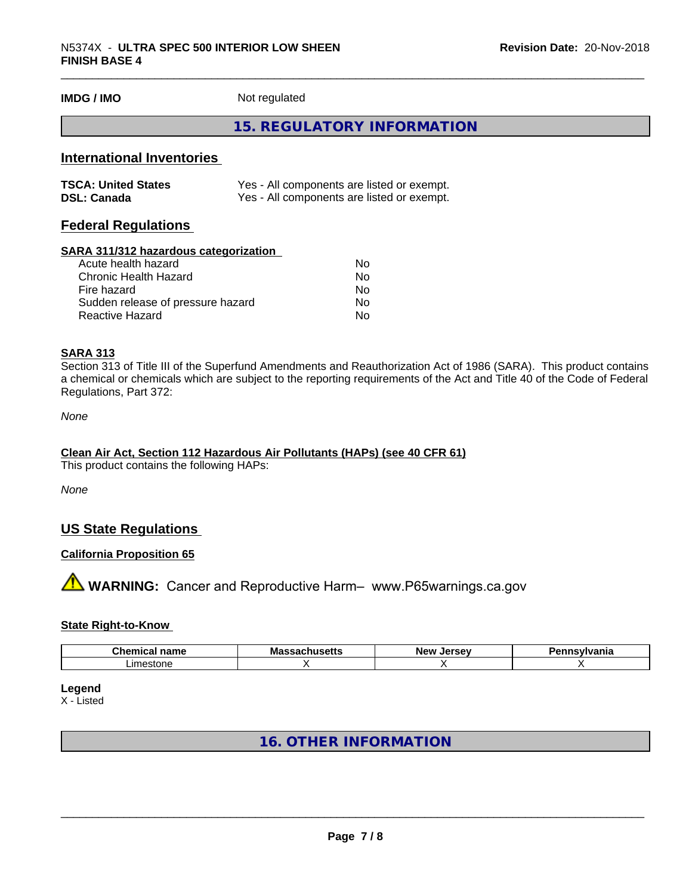**IMDG / IMO** Not regulated

## **15. REGULATORY INFORMATION**

## **International Inventories**

| <b>TSCA: United States</b> | Yes - All components are listed or exempt. |
|----------------------------|--------------------------------------------|
| <b>DSL: Canada</b>         | Yes - All components are listed or exempt. |

# **Federal Regulations**

#### **SARA 311/312 hazardous categorization**

| Acute health hazard               | No. |
|-----------------------------------|-----|
| Chronic Health Hazard             | Nο  |
| Fire hazard                       | No. |
| Sudden release of pressure hazard | Nο  |
| Reactive Hazard                   | Nο  |

#### **SARA 313**

Section 313 of Title III of the Superfund Amendments and Reauthorization Act of 1986 (SARA). This product contains a chemical or chemicals which are subject to the reporting requirements of the Act and Title 40 of the Code of Federal Regulations, Part 372:

*None*

#### **Clean Air Act,Section 112 Hazardous Air Pollutants (HAPs) (see 40 CFR 61)**

This product contains the following HAPs:

*None*

# **US State Regulations**

#### **California Proposition 65**

**AVIMARNING:** Cancer and Reproductive Harm– www.P65warnings.ca.gov

#### **State Right-to-Know**

| Chem<br>$- - - -$<br>$- -$<br>name | <b>IVI</b> a<br>---<br>. | $\cdots$<br>Ne)<br><br>-- | ---------<br>ш |
|------------------------------------|--------------------------|---------------------------|----------------|
| .ım<br>ינורי                       |                          |                           |                |

**Legend**

X - Listed

# **16. OTHER INFORMATION**